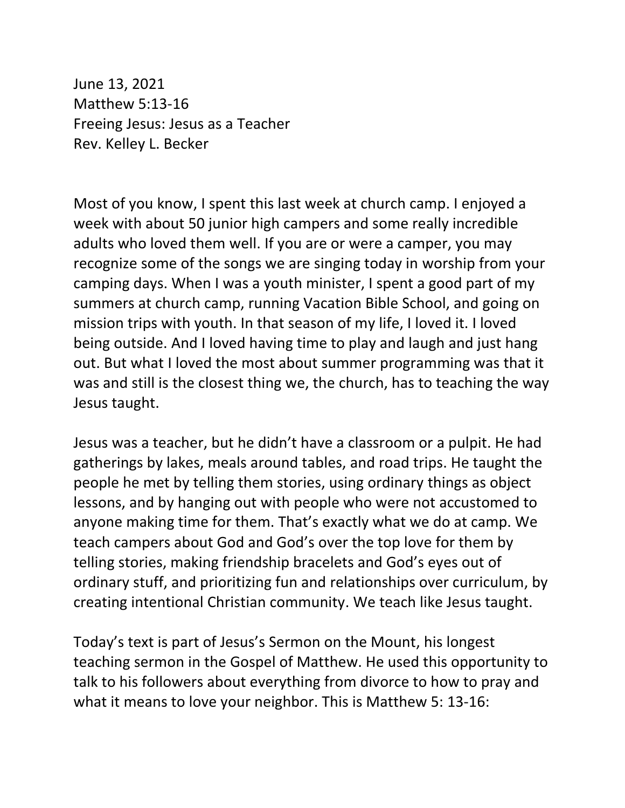June 13, 2021 Matthew 5:13-16 Freeing Jesus: Jesus as a Teacher Rev. Kelley L. Becker

Most of you know, I spent this last week at church camp. I enjoyed a week with about 50 junior high campers and some really incredible adults who loved them well. If you are or were a camper, you may recognize some of the songs we are singing today in worship from your camping days. When I was a youth minister, I spent a good part of my summers at church camp, running Vacation Bible School, and going on mission trips with youth. In that season of my life, I loved it. I loved being outside. And I loved having time to play and laugh and just hang out. But what I loved the most about summer programming was that it was and still is the closest thing we, the church, has to teaching the way Jesus taught.

Jesus was a teacher, but he didn't have a classroom or a pulpit. He had gatherings by lakes, meals around tables, and road trips. He taught the people he met by telling them stories, using ordinary things as object lessons, and by hanging out with people who were not accustomed to anyone making time for them. That's exactly what we do at camp. We teach campers about God and God's over the top love for them by telling stories, making friendship bracelets and God's eyes out of ordinary stuff, and prioritizing fun and relationships over curriculum, by creating intentional Christian community. We teach like Jesus taught.

Today's text is part of Jesus's Sermon on the Mount, his longest teaching sermon in the Gospel of Matthew. He used this opportunity to talk to his followers about everything from divorce to how to pray and what it means to love your neighbor. This is Matthew 5: 13-16: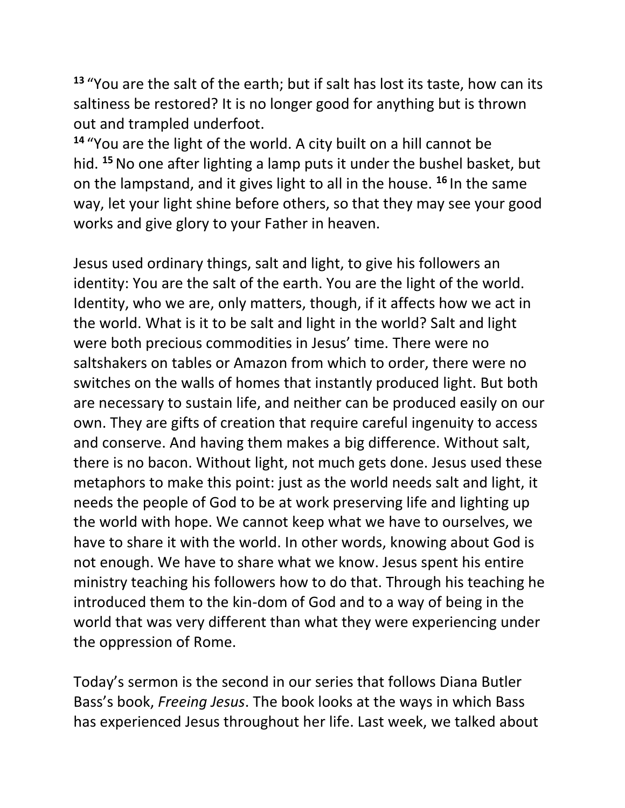**13** "You are the salt of the earth; but if salt has lost its taste, how can its saltiness be restored? It is no longer good for anything but is thrown out and trampled underfoot.

**<sup>14</sup>** "You are the light of the world. A city built on a hill cannot be hid. **<sup>15</sup>**No one after lighting a lamp puts it under the bushel basket, but on the lampstand, and it gives light to all in the house. **<sup>16</sup>** In the same way, let your light shine before others, so that they may see your good works and give glory to your Father in heaven.

Jesus used ordinary things, salt and light, to give his followers an identity: You are the salt of the earth. You are the light of the world. Identity, who we are, only matters, though, if it affects how we act in the world. What is it to be salt and light in the world? Salt and light were both precious commodities in Jesus' time. There were no saltshakers on tables or Amazon from which to order, there were no switches on the walls of homes that instantly produced light. But both are necessary to sustain life, and neither can be produced easily on our own. They are gifts of creation that require careful ingenuity to access and conserve. And having them makes a big difference. Without salt, there is no bacon. Without light, not much gets done. Jesus used these metaphors to make this point: just as the world needs salt and light, it needs the people of God to be at work preserving life and lighting up the world with hope. We cannot keep what we have to ourselves, we have to share it with the world. In other words, knowing about God is not enough. We have to share what we know. Jesus spent his entire ministry teaching his followers how to do that. Through his teaching he introduced them to the kin-dom of God and to a way of being in the world that was very different than what they were experiencing under the oppression of Rome.

Today's sermon is the second in our series that follows Diana Butler Bass's book, *Freeing Jesus*. The book looks at the ways in which Bass has experienced Jesus throughout her life. Last week, we talked about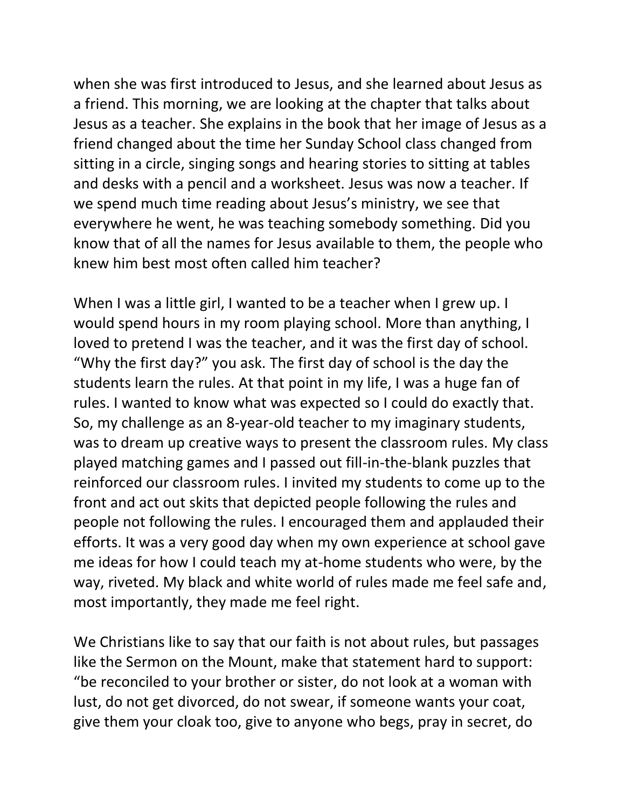when she was first introduced to Jesus, and she learned about Jesus as a friend. This morning, we are looking at the chapter that talks about Jesus as a teacher. She explains in the book that her image of Jesus as a friend changed about the time her Sunday School class changed from sitting in a circle, singing songs and hearing stories to sitting at tables and desks with a pencil and a worksheet. Jesus was now a teacher. If we spend much time reading about Jesus's ministry, we see that everywhere he went, he was teaching somebody something. Did you know that of all the names for Jesus available to them, the people who knew him best most often called him teacher?

When I was a little girl, I wanted to be a teacher when I grew up. I would spend hours in my room playing school. More than anything, I loved to pretend I was the teacher, and it was the first day of school. "Why the first day?" you ask. The first day of school is the day the students learn the rules. At that point in my life, I was a huge fan of rules. I wanted to know what was expected so I could do exactly that. So, my challenge as an 8-year-old teacher to my imaginary students, was to dream up creative ways to present the classroom rules. My class played matching games and I passed out fill-in-the-blank puzzles that reinforced our classroom rules. I invited my students to come up to the front and act out skits that depicted people following the rules and people not following the rules. I encouraged them and applauded their efforts. It was a very good day when my own experience at school gave me ideas for how I could teach my at-home students who were, by the way, riveted. My black and white world of rules made me feel safe and, most importantly, they made me feel right.

We Christians like to say that our faith is not about rules, but passages like the Sermon on the Mount, make that statement hard to support: "be reconciled to your brother or sister, do not look at a woman with lust, do not get divorced, do not swear, if someone wants your coat, give them your cloak too, give to anyone who begs, pray in secret, do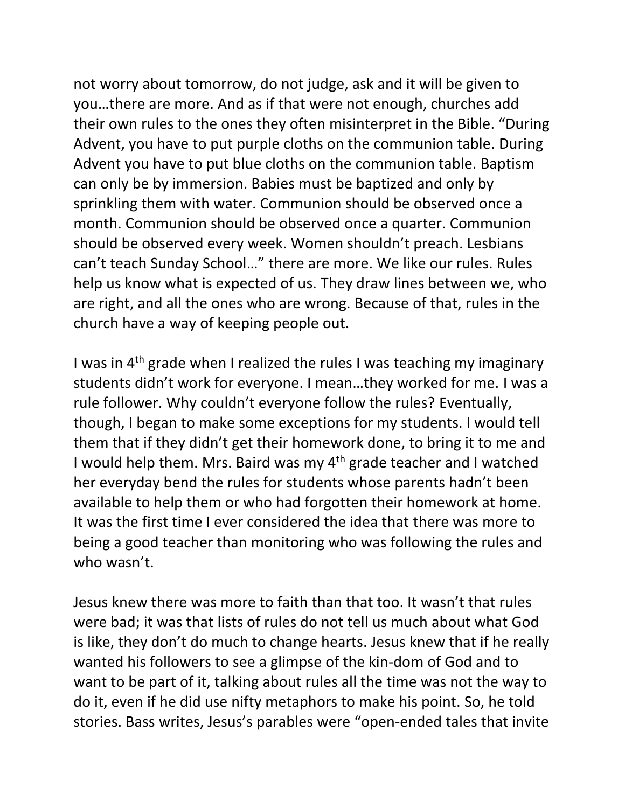not worry about tomorrow, do not judge, ask and it will be given to you…there are more. And as if that were not enough, churches add their own rules to the ones they often misinterpret in the Bible. "During Advent, you have to put purple cloths on the communion table. During Advent you have to put blue cloths on the communion table. Baptism can only be by immersion. Babies must be baptized and only by sprinkling them with water. Communion should be observed once a month. Communion should be observed once a quarter. Communion should be observed every week. Women shouldn't preach. Lesbians can't teach Sunday School…" there are more. We like our rules. Rules help us know what is expected of us. They draw lines between we, who are right, and all the ones who are wrong. Because of that, rules in the church have a way of keeping people out.

I was in 4th grade when I realized the rules I was teaching my imaginary students didn't work for everyone. I mean…they worked for me. I was a rule follower. Why couldn't everyone follow the rules? Eventually, though, I began to make some exceptions for my students. I would tell them that if they didn't get their homework done, to bring it to me and I would help them. Mrs. Baird was my 4th grade teacher and I watched her everyday bend the rules for students whose parents hadn't been available to help them or who had forgotten their homework at home. It was the first time I ever considered the idea that there was more to being a good teacher than monitoring who was following the rules and who wasn't.

Jesus knew there was more to faith than that too. It wasn't that rules were bad; it was that lists of rules do not tell us much about what God is like, they don't do much to change hearts. Jesus knew that if he really wanted his followers to see a glimpse of the kin-dom of God and to want to be part of it, talking about rules all the time was not the way to do it, even if he did use nifty metaphors to make his point. So, he told stories. Bass writes, Jesus's parables were "open-ended tales that invite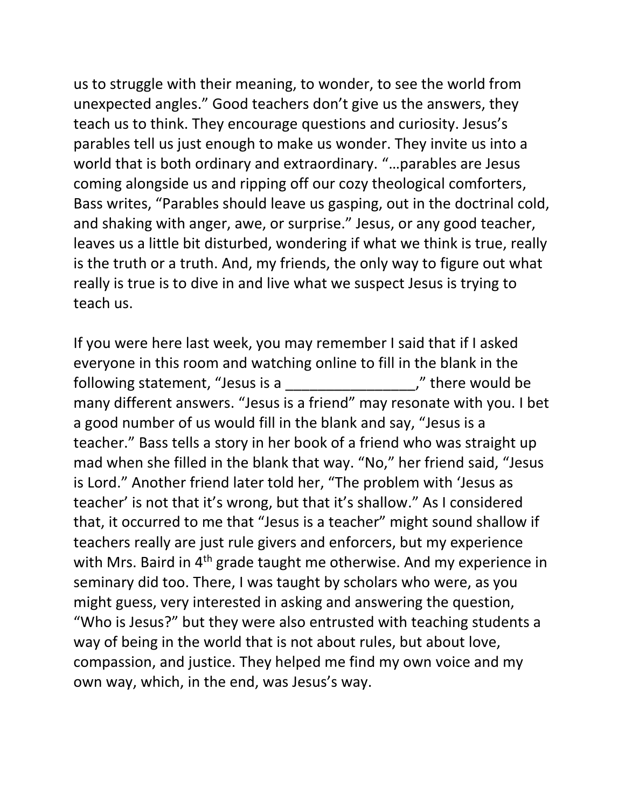us to struggle with their meaning, to wonder, to see the world from unexpected angles." Good teachers don't give us the answers, they teach us to think. They encourage questions and curiosity. Jesus's parables tell us just enough to make us wonder. They invite us into a world that is both ordinary and extraordinary. "…parables are Jesus coming alongside us and ripping off our cozy theological comforters, Bass writes, "Parables should leave us gasping, out in the doctrinal cold, and shaking with anger, awe, or surprise." Jesus, or any good teacher, leaves us a little bit disturbed, wondering if what we think is true, really is the truth or a truth. And, my friends, the only way to figure out what really is true is to dive in and live what we suspect Jesus is trying to teach us.

If you were here last week, you may remember I said that if I asked everyone in this room and watching online to fill in the blank in the following statement, "Jesus is a \_\_\_\_\_\_\_\_\_\_\_\_\_\_\_\_\_\_\_\_\_," there would be many different answers. "Jesus is a friend" may resonate with you. I bet a good number of us would fill in the blank and say, "Jesus is a teacher." Bass tells a story in her book of a friend who was straight up mad when she filled in the blank that way. "No," her friend said, "Jesus is Lord." Another friend later told her, "The problem with 'Jesus as teacher' is not that it's wrong, but that it's shallow." As I considered that, it occurred to me that "Jesus is a teacher" might sound shallow if teachers really are just rule givers and enforcers, but my experience with Mrs. Baird in 4<sup>th</sup> grade taught me otherwise. And my experience in seminary did too. There, I was taught by scholars who were, as you might guess, very interested in asking and answering the question, "Who is Jesus?" but they were also entrusted with teaching students a way of being in the world that is not about rules, but about love, compassion, and justice. They helped me find my own voice and my own way, which, in the end, was Jesus's way.